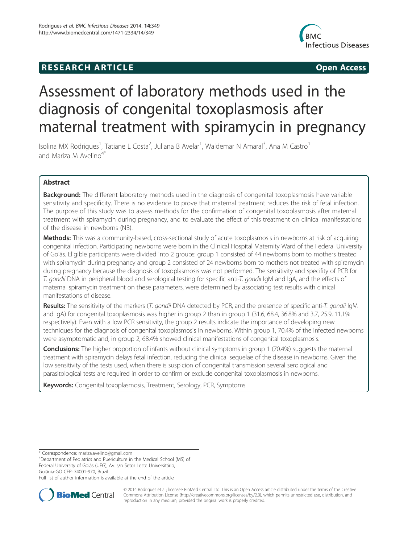## **RESEARCH ARTICLE Example 2014 12:30 The SEAR CHA RESEARCH ARTICLE**



# Assessment of laboratory methods used in the diagnosis of congenital toxoplasmosis after maternal treatment with spiramycin in pregnancy

Isolina MX Rodrigues<sup>1</sup>, Tatiane L Costa<sup>2</sup>, Juliana B Avelar<sup>1</sup>, Waldemar N Amaral<sup>3</sup>, Ana M Castro<sup>1</sup> and Mariza M Avelino<sup>4\*</sup>

## Abstract

Background: The different laboratory methods used in the diagnosis of congenital toxoplasmosis have variable sensitivity and specificity. There is no evidence to prove that maternal treatment reduces the risk of fetal infection. The purpose of this study was to assess methods for the confirmation of congenital toxoplasmosis after maternal treatment with spiramycin during pregnancy, and to evaluate the effect of this treatment on clinical manifestations of the disease in newborns (NB).

Methods: This was a community-based, cross-sectional study of acute toxoplasmosis in newborns at risk of acquiring congenital infection. Participating newborns were born in the Clinical Hospital Maternity Ward of the Federal University of Goiás. Eligible participants were divided into 2 groups: group 1 consisted of 44 newborns born to mothers treated with spiramycin during pregnancy and group 2 consisted of 24 newborns born to mothers not treated with spiramycin during pregnancy because the diagnosis of toxoplasmosis was not performed. The sensitivity and specifity of PCR for T. gondii DNA in peripheral blood and serological testing for specific anti-T. gondii IgM and IgA, and the effects of maternal spiramycin treatment on these parameters, were determined by associating test results with clinical manifestations of disease.

Results: The sensitivity of the markers (T. gondii DNA detected by PCR, and the presence of specific anti-T. gondii IgM and IgA) for congenital toxoplasmosis was higher in group 2 than in group 1 (31.6, 68.4, 36.8% and 3.7, 25.9, 11.1% respectively). Even with a low PCR sensitivity, the group 2 results indicate the importance of developing new techniques for the diagnosis of congenital toxoplasmosis in newborns. Within group 1, 70.4% of the infected newborns were asymptomatic and, in group 2, 68.4% showed clinical manifestations of congenital toxoplasmosis.

**Conclusions:** The higher proportion of infants without clinical symptoms in group 1 (70.4%) suggests the maternal treatment with spiramycin delays fetal infection, reducing the clinical sequelae of the disease in newborns. Given the low sensitivity of the tests used, when there is suspicion of congenital transmission several serological and parasitological tests are required in order to confirm or exclude congenital toxoplasmosis in newborns.

Keywords: Congenital toxoplasmosis, Treatment, Serology, PCR, Symptoms

\* Correspondence: mariza.avelino@gmail.com <sup>4</sup>

Full list of author information is available at the end of the article



© 2014 Rodrigues et al.; licensee BioMed Central Ltd. This is an Open Access article distributed under the terms of the Creative Commons Attribution License (http://creativecommons.org/licenses/by/2.0), which permits unrestricted use, distribution, and reproduction in any medium, provided the original work is properly credited.

Department of Pediatrics and Puericulture in the Medical School (MS) of Federal University of Goiás (UFG), Av. s/n Setor Leste Universitário, Goiânia-GO CEP: 74001-970, Brazil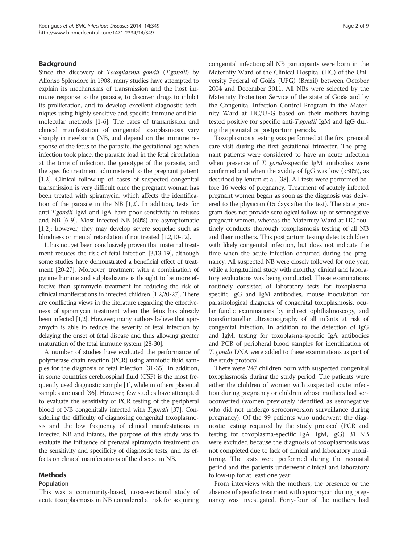#### Background

Since the discovery of Toxoplasma gondii (T.gondii) by Alfonso Splendore in 1908, many studies have attempted to explain its mechanisms of transmission and the host immune response to the parasite, to discover drugs to inhibit its proliferation, and to develop excellent diagnostic techniques using highly sensitive and specific immune and biomolecular methods [1-6]. The rates of transmission and clinical manifestation of congenital toxoplasmosis vary sharply in newborns (NB, and depend on the immune response of the fetus to the parasite, the gestational age when infection took place, the parasite load in the fetal circulation at the time of infection, the genotype of the parasite, and the specific treatment administered to the pregnant patient [1,2]. Clinical follow-up of cases of suspected congenital transmission is very difficult once the pregnant woman has been treated with spiramycin, which affects the identification of the parasite in the NB [1,2]. In addition, tests for anti-T.gondii IgM and IgA have poor sensitivity in fetuses and NB [6-9]. Most infected NB (60%) are asymptomatic [1,2]; however, they may develop severe sequelae such as blindness or mental retardation if not treated [1,2,10-12].

It has not yet been conclusively proven that maternal treatment reduces the risk of fetal infection [3,13-19], although some studies have demonstrated a beneficial effect of treatment [20-27]. Moreover, treatment with a combination of pyrimethamine and sulphadiazine is thought to be more effective than spiramycin treatment for reducing the risk of clinical manifestations in infected children [1,2,20-27]. There are conflicting views in the literature regarding the effectiveness of spiramycin treatment when the fetus has already been infected [1,2]. However, many authors believe that spiramycin is able to reduce the severity of fetal infection by delaying the onset of fetal disease and thus allowing greater maturation of the fetal immune system [28-30].

A number of studies have evaluated the performance of polymerase chain reaction (PCR) using amniotic fluid samples for the diagnosis of fetal infection [31-35]. In addition, in some countries cerebrospinal fluid (CSF) is the most frequently used diagnostic sample [1], while in others placental samples are used [36]. However, few studies have attempted to evaluate the sensitivity of PCR testing of the peripheral blood of NB congenitally infected with T.gondii [37]. Considering the difficulty of diagnosing congenital toxoplasmosis and the low frequency of clinical manifestations in infected NB and infants, the purpose of this study was to evaluate the influence of prenatal spiramycin treatment on the sensitivity and specificity of diagnostic tests, and its effects on clinical manifestations of the disease in NB.

## Methods

#### Population

This was a community-based, cross-sectional study of acute toxoplasmosis in NB considered at risk for acquiring

congenital infection; all NB participants were born in the Maternity Ward of the Clinical Hospital (HC) of the University Federal of Goiás (UFG) (Brazil) between October 2004 and December 2011. All NBs were selected by the Maternity Protection Service of the state of Goiás and by the Congenital Infection Control Program in the Maternity Ward at HC/UFG based on their mothers having tested positive for specific anti-T.gondii IgM and IgG during the prenatal or postpartum periods.

Toxoplasmosis testing was performed at the first prenatal care visit during the first gestational trimester. The pregnant patients were considered to have an acute infection when presence of *T. gondii-specific* IgM antibodies were confirmed and when the avidity of IgG was low (<30%), as described by Jenum et al. [38]. All tests were performed before 16 weeks of pregnancy. Treatment of acutely infected pregnant women began as soon as the diagnosis was delivered to the physician (15 days after the test). The state program does not provide serological follow-up of seronegative pregnant women, whereas the Maternity Ward at HC routinely conducts thorough toxoplasmosis testing of all NB and their mothers. This postpartum testing detects children with likely congenital infection, but does not indicate the time when the acute infection occurred during the pregnancy. All suspected NB were closely followed for one year, while a longitudinal study with monthly clinical and laboratory evaluations was being conducted. These examinations routinely consisted of laboratory tests for toxoplasmaspecific IgG and IgM antibodies, mouse inoculation for parasitological diagnosis of congenital toxoplasmosis, ocular fundic examinations by indirect ophthalmoscopy, and transfontanellar ultrasonography of all infants at risk of congenital infection. In addition to the detection of IgG and IgM, testing for toxoplasma-specific IgA antibodies and PCR of peripheral blood samples for identification of T. gondii DNA were added to these examinations as part of the study protocol.

There were 247 children born with suspected congenital toxoplasmosis during the study period. The patients were either the children of women with suspected acute infection during pregnancy or children whose mothers had seroconverted (women previously identified as seronegative who did not undergo seroconversion surveillance during pregnancy). Of the 99 patients who underwent the diagnostic testing required by the study protocol (PCR and testing for toxoplasma-specific IgA, IgM, IgG), 31 NB were excluded because the diagnosis of toxoplasmosis was not completed due to lack of clinical and laboratory monitoring. The tests were performed during the neonatal period and the patients underwent clinical and laboratory follow-up for at least one year.

From interviews with the mothers, the presence or the absence of specific treatment with spiramycin during pregnancy was investigated. Forty-four of the mothers had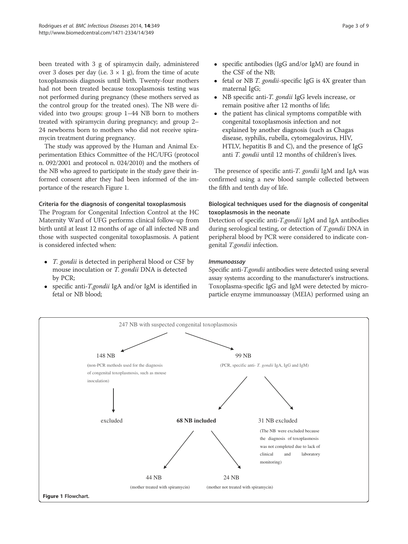been treated with 3 g of spiramycin daily, administered over 3 doses per day (i.e.  $3 \times 1$  g), from the time of acute toxoplasmosis diagnosis until birth. Twenty-four mothers had not been treated because toxoplasmosis testing was not performed during pregnancy (these mothers served as the control group for the treated ones). The NB were divided into two groups: group 1–44 NB born to mothers treated with spiramycin during pregnancy; and group 2– 24 newborns born to mothers who did not receive spiramycin treatment during pregnancy.

The study was approved by the Human and Animal Experimentation Ethics Committee of the HC/UFG (protocol n. 092/2001 and protocol n. 024/2010) and the mothers of the NB who agreed to participate in the study gave their informed consent after they had been informed of the importance of the research Figure 1.

## Criteria for the diagnosis of congenital toxoplasmosis

The Program for Congenital Infection Control at the HC Maternity Ward of UFG performs clinical follow-up from birth until at least 12 months of age of all infected NB and those with suspected congenital toxoplasmosis. A patient is considered infected when:

- T. gondii is detected in peripheral blood or CSF by mouse inoculation or T. gondii DNA is detected by PCR;
- specific anti-T.gondii IgA and/or IgM is identified in fetal or NB blood;
- $\bullet$  specific antibodies (IgG and/or IgM) are found in the CSF of the NB;
- $\bullet$  fetal or NB T. gondii-specific IgG is 4X greater than maternal IgG;
- NB specific anti-*T. gondii* IgG levels increase, or remain positive after 12 months of life;
- $\bullet$  the patient has clinical symptoms compatible with congenital toxoplasmosis infection and not explained by another diagnosis (such as Chagas disease, syphilis, rubella, cytomegalovirus, HIV, HTLV, hepatitis B and C), and the presence of IgG anti T. gondii until 12 months of children's lives.

The presence of specific anti-T. gondii IgM and IgA was confirmed using a new blood sample collected between the fifth and tenth day of life.

## Biological techniques used for the diagnosis of congenital toxoplasmosis in the neonate

Detection of specific anti-T.gondii IgM and IgA antibodies during serological testing, or detection of T.gondii DNA in peripheral blood by PCR were considered to indicate congenital T.gondii infection.

## Immunoassay

Specific anti-T.gondii antibodies were detected using several assay systems according to the manufacturer's instructions. Toxoplasma-specific IgG and IgM were detected by microparticle enzyme immunoassay (MEIA) performed using an

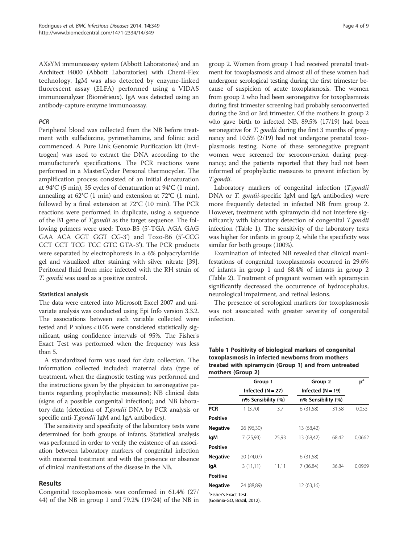AXsYM immunoassay system (Abbott Laboratories) and an Architect i4000 (Abbott Laboratories) with Chemi-Flex technology. IgM was also detected by enzyme-linked fluorescent assay (ELFA) performed using a VIDAS immunoanalyzer (Biomérieux). IgA was detected using an antibody-capture enzyme immunoassay.

## **PCR**

Peripheral blood was collected from the NB before treatment with sulfadiazine, pyrimethamine, and folinic acid commenced. A Pure Link Genomic Purification kit (Invitrogen) was used to extract the DNA according to the manufacturer's specifications. The PCR reactions were performed in a MasterCycler Personal thermocycler. The amplification process consisted of an initial denaturation at 94°C (5 min), 35 cycles of denaturation at 94°C (1 min), annealing at 62°C (1 min) and extension at 72°C (1 min), followed by a final extension at 72°C (10 min). The PCR reactions were performed in duplicate, using a sequence of the B1 gene of T.gondii as the target sequence. The following primers were used: Toxo-B5 (5'-TGA AGA GAG GAA ACA GGT GGT CG-3') and Toxo-B6 (5'-CCG CCT CCT TCG TCC GTC GTA-3'). The PCR products were separated by electrophoresis in a 6% polyacrylamide gel and visualized after staining with silver nitrate [39]. Peritoneal fluid from mice infected with the RH strain of T. gondii was used as a positive control.

## Statistical analysis

The data were entered into Microsoft Excel 2007 and univariate analysis was conducted using Epi Info version 3.3.2. The associations between each variable collected were tested and P values < 0.05 were considered statistically significant, using confidence intervals of 95%. The Fisher's Exact Test was performed when the frequency was less than 5.

A standardized form was used for data collection. The information collected included: maternal data (type of treatment, when the diagnostic testing was performed and the instructions given by the physician to seronegative patients regarding prophylactic measures); NB clinical data (signs of a possible congenital infection); and NB laboratory data (detection of T.gondii DNA by PCR analysis or specific anti-*T.gondii* IgM and IgA antibodies).

The sensitivity and specificity of the laboratory tests were determined for both groups of infants. Statistical analysis was performed in order to verify the existence of an association between laboratory markers of congenital infection with maternal treatment and with the presence or absence of clinical manifestations of the disease in the NB.

## Results

Congenital toxoplasmosis was confirmed in 61.4% (27/ 44) of the NB in group 1 and 79.2% (19/24) of the NB in

group 2. Women from group 1 had received prenatal treatment for toxoplasmosis and almost all of these women had undergone serological testing during the first trimester because of suspicion of acute toxoplasmosis. The women from group 2 who had been seronegative for toxoplasmosis during first trimester screening had probably seroconverted during the 2nd or 3rd trimester. Of the mothers in group 2 who gave birth to infected NB, 89.5% (17/19) had been seronegative for *T. gondii* during the first 3 months of pregnancy and 10.5% (2/19) had not undergone prenatal toxoplasmosis testing. None of these seronegative pregnant women were screened for seroconversion during pregnancy; and the patients reported that they had not been informed of prophylactic measures to prevent infection by T.gondii.

Laboratory markers of congenital infection (T.gondii DNA or *T. gondii-specific IgM* and IgA antibodies) were more frequently detected in infected NB from group 2. However, treatment with spiramycin did not interfere significantly with laboratory detection of congenital T.gondii infection (Table 1). The sensitivity of the laboratory tests was higher for infants in group 2, while the specificity was similar for both groups (100%).

Examination of infected NB revealed that clinical manifestations of congenital toxoplasmosis occurred in 29.6% of infants in group 1 and 68.4% of infants in group 2 (Table 2). Treatment of pregnant women with spiramycin significantly decreased the occurrence of hydrocephalus, neurological impairment, and retinal lesions.

The presence of serological markers for toxoplasmosis was not associated with greater severity of congenital infection.

Table 1 Positivity of biological markers of congenital toxoplasmosis in infected newborns from mothers treated with spiramycin (Group 1) and from untreated

|                                   | mothers (Group 2)<br>Group 1<br>Infected $(N = 27)$<br>n% Sensibility (%) |       | Group 2<br>Infected $(N = 19)$<br>n% Sensibility (%) |       | $p^a$  |
|-----------------------------------|---------------------------------------------------------------------------|-------|------------------------------------------------------|-------|--------|
|                                   |                                                                           |       |                                                      |       |        |
|                                   |                                                                           |       |                                                      |       |        |
| <b>PCR</b>                        | 1(3,70)                                                                   | 3,7   | 6(31,58)                                             | 31,58 | 0,053  |
| <b>Positive</b>                   |                                                                           |       |                                                      |       |        |
| <b>Negative</b>                   | 26 (96,30)                                                                |       | 13 (68,42)                                           |       |        |
| lgM                               | 7(25,93)                                                                  | 25,93 | 13 (68,42)                                           | 68,42 | 0,0662 |
| <b>Positive</b>                   |                                                                           |       |                                                      |       |        |
| <b>Negative</b>                   | 20 (74,07)                                                                |       | 6(31,58)                                             |       |        |
| lgA                               | 3(11,11)                                                                  | 11,11 | 7(36,84)                                             | 36,84 | 0,0969 |
| Positive                          |                                                                           |       |                                                      |       |        |
| Negative                          | 24 (88,89)                                                                |       | 12 (63,16)                                           |       |        |
| <sup>a</sup> Fisher's Exact Test. |                                                                           |       |                                                      |       |        |

(Goiânia-GO, Brazil, 2012).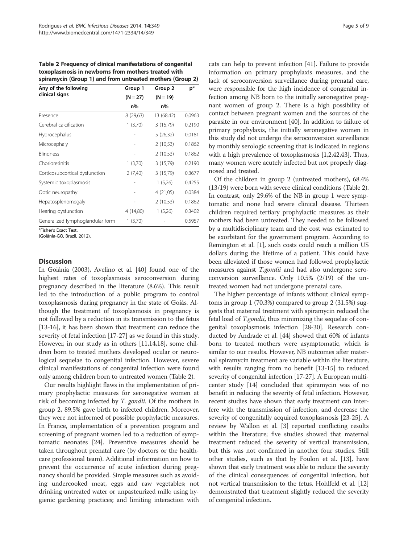Table 2 Frequency of clinical manifestations of congenital toxoplasmosis in newborns from mothers treated with spiramycin (Group 1) and from untreated mothers (Group 2)

| Any of the following             | Group 1    | Group 2    | p <sup>a</sup> |
|----------------------------------|------------|------------|----------------|
| clinical signs                   | $(N = 27)$ | $(N = 19)$ |                |
|                                  | $n\%$      | $n\%$      |                |
| Presence                         | 8 (29,63)  | 13 (68,42) | 0,0963         |
| Cerebral calcification           | 1(3,70)    | 3 (15,79)  | 0,2190         |
| Hydrocephalus                    |            | 5(26,32)   | 0,0181         |
| Microcephaly                     |            | 2(10,53)   | 0,1862         |
| <b>Blindness</b>                 |            | 2(10,53)   | 0,1862         |
| Chorioretinitis                  | 1(3,70)    | 3(15,79)   | 0,2190         |
| Corticosubcortical dysfunction   | 2(7,40)    | 3 (15,79)  | 0,3677         |
| Systemic toxoplasmosis           |            | 1(5,26)    | 0,4255         |
| Optic neuropathy                 |            | 4 (21,05)  | 0,0384         |
| Hepatosplenomegaly               |            | 2(10,53)   | 0,1862         |
| Hearing dysfunction              | 4 (14,80)  | 1(5,26)    | 0,3402         |
| Generalized lymphoglandular form | 1(3,70)    |            | 0,5957         |
|                                  |            |            |                |

<sup>a</sup>Fisher's Exact Test.

(Goiânia-GO, Brazil, 2012).

#### **Discussion**

In Goiânia (2003), Avelino et al. [40] found one of the highest rates of toxoplasmosis seroconversion during pregnancy described in the literature (8.6%). This result led to the introduction of a public program to control toxoplasmosis during pregnancy in the state of Goiás. Although the treatment of toxoplasmosis in pregnancy is not followed by a reduction in its transmission to the fetus [13-16], it has been shown that treatment can reduce the severity of fetal infection [17-27] as we found in this study. However, in our study as in others [11,14,18], some children born to treated mothers developed ocular or neurological sequelae to congenital infection. However, severe clinical manifestations of congenital infection were found only among children born to untreated women (Table 2).

Our results highlight flaws in the implementation of primary prophylactic measures for seronegative women at risk of becoming infected by T. gondii. Of the mothers in group 2, 89.5% gave birth to infected children. Moreover, they were not informed of possible prophylactic measures. In France, implementation of a prevention program and screening of pregnant women led to a reduction of symptomatic neonates [24]. Preventive measures should be taken throughout prenatal care (by doctors or the healthcare professional team). Additional information on how to prevent the occurrence of acute infection during pregnancy should be provided. Simple measures such as avoiding undercooked meat, eggs and raw vegetables; not drinking untreated water or unpasteurized milk; using hygienic gardening practices; and limiting interaction with cats can help to prevent infection [41]. Failure to provide information on primary prophylaxis measures, and the lack of seroconversion surveillance during prenatal care, were responsible for the high incidence of congenital infection among NB born to the initially seronegative pregnant women of group 2. There is a high possibility of contact between pregnant women and the sources of the parasite in our environment [40]. In addition to failure of primary prophylaxis, the initially seronegative women in this study did not undergo the seroconversion surveillance by monthly serologic screening that is indicated in regions with a high prevalence of toxoplasmosis [1,2,42,43]. Thus, many women were acutely infected but not properly diagnosed and treated.

Of the children in group 2 (untreated mothers), 68.4% (13/19) were born with severe clinical conditions (Table 2). In contrast, only 29.6% of the NB in group 1 were symptomatic and none had severe clinical disease. Thirteen children required tertiary prophylactic measures as their mothers had been untreated. They needed to be followed by a multidisciplinary team and the cost was estimated to be exorbitant for the government program. According to Remington et al. [1], such costs could reach a million US dollars during the lifetime of a patient. This could have been alleviated if those women had followed prophylactic measures against T.gondii and had also undergone seroconversion surveillance. Only 10.5% (2/19) of the untreated women had not undergone prenatal care.

The higher percentage of infants without clinical symptoms in group  $1(70.3\%)$  compared to group  $2(31.5\%)$  suggests that maternal treatment with spiramycin reduced the fetal load of T.gondii, thus minimizing the sequelae of congenital toxoplasmosis infection [28-30]. Research conducted by Andrade et al. [44] showed that 60% of infants born to treated mothers were asymptomatic, which is similar to our results. However, NB outcomes after maternal spiramycin treatment are variable within the literature, with results ranging from no benefit [13-15] to reduced severity of congenital infection [17-27]. A European multicenter study [14] concluded that spiramycin was of no benefit in reducing the severity of fetal infection. However, recent studies have shown that early treatment can interfere with the transmission of infection, and decrease the severity of congenitally acquired toxoplasmosis [23-25]. A review by Wallon et al. [3] reported conflicting results within the literature; five studies showed that maternal treatment reduced the severity of vertical transmission, but this was not confirmed in another four studies. Still other studies, such as that by Foulon et al. [13], have shown that early treatment was able to reduce the severity of the clinical consequences of congenital infection, but not vertical transmission to the fetus. Hohlfeld et al. [12] demonstrated that treatment slightly reduced the severity of congenital infection.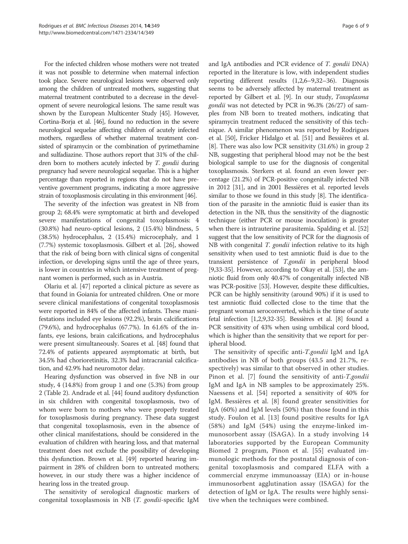For the infected children whose mothers were not treated it was not possible to determine when maternal infection took place. Severe neurological lesions were observed only among the children of untreated mothers, suggesting that maternal treatment contributed to a decrease in the development of severe neurological lesions. The same result was shown by the European Multicenter Study [45]. However, Cortina-Borja et al. [46], found no reduction in the severe neurological sequelae affecting children of acutely infected mothers, regardless of whether maternal treatment consisted of spiramycin or the combination of pyrimethamine and sulfadiazine. Those authors report that 31% of the children born to mothers acutely infected by T. gondii during pregnancy had severe neurological sequelae. This is a higher percentage than reported in regions that do not have preventive government programs, indicating a more aggressive strain of toxoplasmosis circulating in this environment [46].

The severity of the infection was greatest in NB from group 2; 68.4% were symptomatic at birth and developed severe manifestations of congenital toxoplasmosis: 4 (30.8%) had neuro-optical lesions, 2 (15.4%) blindness, 5 (38.5%) hydrocephalus, 2 (15.4%) microcephaly, and 1 (7.7%) systemic toxoplasmosis. Gilbert et al. [26], showed that the risk of being born with clinical signs of congenital infection, or developing signs until the age of three years, is lower in countries in which intensive treatment of pregnant women is performed, such as in Austria.

Olariu et al. [47] reported a clinical picture as severe as that found in Goiania for untreated children. One or more severe clinical manifestations of congenital toxoplasmosis were reported in 84% of the affected infants. These manifestations included eye lesions (92.2%), brain calcifications (79.6%), and hydrocephalus (67.7%). In 61.6% of the infants, eye lesions, brain calcifications, and hydrocephalus were present simultaneously. Soares et al. [48] found that 72.4% of patients appeared asymptomatic at birth, but 34.5% had chorioretinitis, 32.3% had intracranial calcification, and 42.9% had neuromotor delay.

Hearing dysfunction was observed in five NB in our study, 4 (14.8%) from group 1 and one (5.3%) from group 2 (Table 2). Andrade et al. [44] found auditory dysfunction in six children with congenital toxoplasmosis, two of whom were born to mothers who were properly treated for toxoplasmosis during pregnancy. These data suggest that congenital toxoplasmosis, even in the absence of other clinical manifestations, should be considered in the evaluation of children with hearing loss, and that maternal treatment does not exclude the possibility of developing this dysfunction. Brown et al. [49] reported hearing impairment in 28% of children born to untreated mothers; however, in our study there was a higher incidence of hearing loss in the treated group.

The sensitivity of serological diagnostic markers of congenital toxoplasmosis in NB (T. gondii-specific IgM and IgA antibodies and PCR evidence of T. gondii DNA) reported in the literature is low, with independent studies reporting different results (1,2,6–9,32–36). Diagnosis seems to be adversely affected by maternal treatment as reported by Gilbert et al. [9]. In our study, Toxoplasma gondii was not detected by PCR in 96.3% (26/27) of samples from NB born to treated mothers, indicating that spiramycin treatment reduced the sensitivity of this technique. A similar phenomenon was reported by Rodrigues et al. [50], Fricker Hidalgo et al. [51] and Bessières et al. [8]. There was also low PCR sensitivity (31.6%) in group 2 NB, suggesting that peripheral blood may not be the best biological sample to use for the diagnosis of congenital toxoplasmosis. Sterkers et al. found an even lower percentage (21.2%) of PCR-positive congenitally infected NB in 2012 [31], and in 2001 Bessières et al. reported levels similar to those we found in this study [8]. The identification of the parasite in the amniotic fluid is easier than its detection in the NB, thus the sensitivity of the diagnostic technique (either PCR or mouse inoculation) is greater when there is intrauterine parasitemia. Spalding et al. [52] suggest that the low sensitivity of PCR for the diagnosis of NB with congenital *T. gondii* infection relative to its high sensitivity when used to test amniotic fluid is due to the transient persistence of T.gondii in peripheral blood [9,33-35]. However, according to Okay et al. [53], the amniotic fluid from only 40.47% of congenitally infected NB was PCR-positive [53]. However, despite these difficulties, PCR can be highly sensitivity (around 90%) if it is used to test amniotic fluid collected close to the time that the pregnant woman seroconverted, which is the time of acute fetal infection [1,2,9,32-35]. Bessières et al. [8] found a PCR sensitivity of 43% when using umbilical cord blood, which is higher than the sensitivity that we report for peripheral blood.

The sensitivity of specific anti-T.gondii IgM and IgA antibodies in NB of both groups (43.5 and 21.7%, respectively) was similar to that observed in other studies. Pinon et al. [7] found the sensitivity of anti-T.gondii IgM and IgA in NB samples to be approximately 25%. Naessens et al. [54] reported a sensitivity of 40% for IgM. Bessières et al. [8] found greater sensitivities for IgA (60%) and IgM levels (50%) than those found in this study. Foulon et al. [13] found positive results for IgA (58%) and IgM (54%) using the enzyme-linked immunosorbent assay (ISAGA). In a study involving 14 laboratories supported by the European Community Biomed 2 program, Pinon et al. [55] evaluated immunologic methods for the postnatal diagnosis of congenital toxoplasmosis and compared ELFA with a commercial enzyme immunoassay (EIA) or in-house immunosorbent agglutination assay (ISAGA) for the detection of IgM or IgA. The results were highly sensitive when the techniques were combined.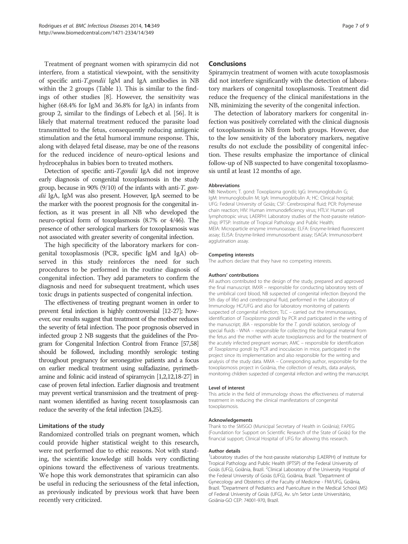Treatment of pregnant women with spiramycin did not interfere, from a statistical viewpoint, with the sensitivity of specific anti-T.gondii IgM and IgA antibodies in NB within the 2 groups (Table 1). This is similar to the findings of other studies [8]. However, the sensitivity was higher (68.4% for IgM and 36.8% for IgA) in infants from group 2, similar to the findings of Lebech et al. [56]. It is likely that maternal treatment reduced the parasite load transmitted to the fetus, consequently reducing antigenic stimulation and the fetal humoral immune response. This, along with delayed fetal disease, may be one of the reasons for the reduced incidence of neuro-optical lesions and hydrocephalus in babies born to treated mothers.

Detection of specific anti-T.gondii IgA did not improve early diagnosis of congenital toxoplasmosis in the study group, because in 90% (9/10) of the infants with anti-T. gondii IgA, IgM was also present. However, IgA seemed to be the marker with the poorest prognosis for the congenital infection, as it was present in all NB who developed the neuro-optical form of toxoplasmosis (8.7% or 4/46). The presence of other serological markers for toxoplasmosis was not associated with greater severity of congenital infection.

The high specificity of the laboratory markers for congenital toxoplasmosis (PCR, specific IgM and IgA) observed in this study reinforces the need for such procedures to be performed in the routine diagnosis of congenital infection. They add parameters to confirm the diagnosis and need for subsequent treatment, which uses toxic drugs in patients suspected of congenital infection.

The effectiveness of treating pregnant women in order to prevent fetal infection is highly controversial [12-27]; however, our results suggest that treatment of the mother reduces the severity of fetal infection. The poor prognosis observed in infected group 2 NB suggests that the guidelines of the Program for Congenital Infection Control from France [57,58] should be followed, including monthly serologic testing throughout pregnancy for seronegative patients and a focus on earlier medical treatment using sulfadiazine, pyrimethamine and folinic acid instead of spiramycin [1,2,12,18-27] in case of proven fetal infection. Earlier diagnosis and treatment may prevent vertical transmission and the treatment of pregnant women identified as having recent toxoplasmosis can reduce the severity of the fetal infection [24,25].

## Limitations of the study

Randomized controlled trials on pregnant women, which could provide higher statistical weight to this research, were not performed due to ethic reasons. Not with standing, the scientific knowledge still holds very conflicting opinions toward the effectiveness of various treatments. We hope this work demonstrates that spiramicin can also be useful in reducing the seriousness of the fetal infection, as previously indicated by previous work that have been recently very criticized.

#### Conclusions

Spiramycin treatment of women with acute toxoplasmosis did not interfere significantly with the detection of laboratory markers of congenital toxoplasmosis. Treatment did reduce the frequency of the clinical manifestations in the NB, minimizing the severity of the congenital infection.

The detection of laboratory markers for congenital infection was positively correlated with the clinical diagnosis of toxoplasmosis in NB from both groups. However, due to the low sensitivity of the laboratory markers, negative results do not exclude the possibility of congenital infection. These results emphasize the importance of clinical follow-up of NB suspected to have congenital toxoplasmosis until at least 12 months of age.

#### Abbreviations

NB: Newborn; T. gond: Toxoplasma gondii; IgG: Immunoglobulin G; IgM: Immunoglobulin M; IgA: Immunoglobulin A; HC: Clinical hospital; UFG: Federal University of Goiás; CSF: Cerebrospinal fluid; PCR: Polymerase chain reaction; HIV: Human immunodeficiency virus; HTLV: Human cell lymphotropic virus; LAERPH: Laboratory studies of the host-parasite relationship; IPTSP: Institute of Tropical Pathology and Public Health; MEIA: Microparticle enzyme immunoassay; ELFA: Enzyme-linked fluorescent assay; ELISA: Enzyme-linked immunosorbent assay; ISAGA: Immunosorbent agglutination assay.

#### Competing interests

The authors declare that they have no competing interests.

#### Authors' contributions

All authors contributed to the design of the study, prepared and approved the final manuscript. IMXR – responsible for conducting laboratory tests of the umbilical cord blood, NB suspected of congenital infection (beyond the 5th day of life) and cerebrospinal fluid, performed in the Laboratory of Immunology HC/UFG and also for laboratory monitoring of patients suspected of congenital infection; TLC – carried out the immunoassays, identification of Toxoplasma gondii by PCR and participated in the writing of the manuscript; JBA - responsible for the T. gondii isolation, serology of special fluids - WNA – responsible for collecting the biological material from the fetus and the mother with acute toxoplasmosis and for the treatment of the acutely infected pregnant woman; AMC – responsible for identification of Toxoplasma gondii by PCR and inoculacion in mice, participated in the project since its implementation and also responsible for the writing and analysis of the study data. MMA – Corresponding author, responsible for the toxoplasmosis project in Goiânia, the collection of results, data analysis, monitoring children suspected of congenital infection and writing the manuscript.

#### Level of interest

This article in the field of immunology shows the effectiveness of maternal treatment in reducing the clinical manifestations of congenital toxoplasmosis.

#### Acknowledgements

Thank to the SMSGO (Municipal Secretary of Health in Goiânia); FAPEG (Foundation for Support on Scientific Research of the State of Goiás) for the financial support; Clinical Hospital of UFG for allowing this research.

#### Author details

<sup>1</sup>Laboratory studies of the host-parasite relationship (LAERPH) of Institute for Tropical Pathology and Public Health (IPTSP) of the Federal University of Goiás (UFG), Goiânia, Brazil. <sup>2</sup>Clinical Laboratory of the University Hospital of the Federal University of Goiás (UFG), Goiânia, Brazil. <sup>3</sup>Department of Gynecology and Obstetrics of the Faculty of Medicine - FM/UFG, Goiânia, Brazil. <sup>4</sup> Department of Pediatrics and Puericulture in the Medical School (MS) of Federal University of Goiás (UFG), Av. s/n Setor Leste Universitário, Goiânia-GO CEP: 74001-970, Brazil.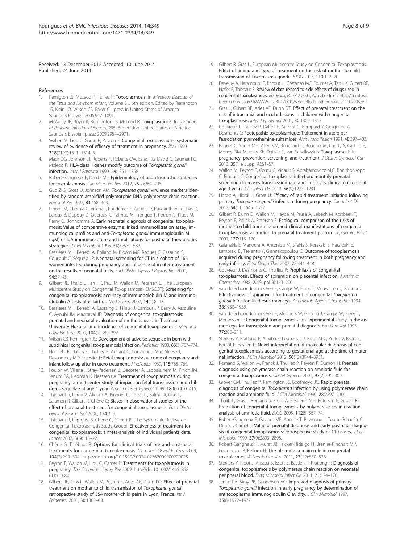Received: 13 December 2012 Accepted: 10 June 2014 Published: 24 June 2014

#### References

- Remigton JS, McLeod R, Tulliez P: Toxoplasmosis. In Infectious Diseases of the Fetus and Newborn Infant, Volume 31. 6th edition. Edited by Remington JS, Klein JO, Wilson CB, Baker CJ. press in United States of America: Saunders Elsevier; 2006:947–1091.
- 2. McAuley JB, Boyer K, Remington JS, McLeod R: Toxoplasmosis. In Textbook of Pediatric Infectious Diseases, 235. 6th edition. United States of America: Saunders Elsevier, press; 2009:2954–2971.
- 3. Wallon M, Liou C, Garne P, Peyron F: Congenital toxoplasmosis: systematic review of evidence of efficacy of treatment in pregnancy. BMJ 1999, 318(7197):1511–1514. 5.
- Mack DG, Johnson JJ, Roberts F, Roberts CW, Estes RG, David C, Grumet FC, Mcleod R: HLA-class II genes modify outcome of Toxoplasma gondii infection. Inter J Parasitol 1999, 29:1351–1358.
- Robert-Gangneux F, Dardé ML: Epidemiology of and diagnostic strategies for toxoplasmosis. Clin Microbiol Rev 2012, 25(2):264–296.
- 6. Guo Z-G, Gross U, Johnson AM: Toxoplasma gondii virulence markers identified by random amplified polymorphic DNA polymerase chain reaction. Parasitol Res 1997, 83:458–463.
- 7. Pinon JM, Chemla C, Villena I, Foudrinier F, Aubert D, Puygauthier-Toubas D, Leroux B, Dupouy D, Quereux C, Talmud M, Trenque T, Potron G, Pluot M, Remy G, Bonhomme A: Early neonatal diagnosis of congenital toxoplasmosis: Value of comparative enzyme linked immunofiltration assay, immunological profiles and anti-Toxoplasma gondii immunoglobulin M (IgM) or IgA immunocapture and implications for postnatal therapeutics strategies. J Clin Microbiol 1996, 34(3):579-583.
- 8. Bessières MH, Berrebi A, Rolland M, Bloom MC, Roques C, Cassaing S, Courjault C, Séguéla JP: Neonatal screening for CT in a cohort of 165 women infected during pregnancy and influence of in utero treatment on the results of neonatal tests. EurJ Obstet Gynecol Reprod Biol 2001, 94:37–45.
- 9. Gilbert RE, Thalib L, Tan HK, Paul M, Wallon M, Petersen E, [The European Multicentre Study on Congenital Toxoplasmosis- EMSCOT]: Screening for congenital toxoplasmosis: accuracy of immunoglobulin M and immunoglobulin A tests after birth. J Med Screen 2007, 14(1):8-13.
- 10. Bessieres MH, Berrebi A, Cassaing S, Fillaux J, Cambus JP, Berry A, Assouline C, Ayoubi JM, Magnaval JF: Diagnosis of congenital toxoplasmosis: prenatal and neonatal evaluation of methods used in Toulouse University Hospital and incidence of congenital toxoplasmosis. Mem Inst Oswaldo Cruz 2009, 104(2):389–392.
- 11. Wilson CB, Remington JS: Development of adverse sequelae in born with subclinical congenital toxoplasmosis infection. Pediatrics 1980, 66(5):767–774.
- 12. Hohlfeld P, Daffos F, Thulliez P, Aufrant C, Couvreur J, Mac Aleese J, Descombey MD, Forestier F: Fetal toxoplasmosis: outcome of pregnancy and infant follow-up after in utero treatment. J Pediatrics 1989, 115:765-769.
- 13. Foulon W, Villena I, Stray-Pedersen B, Decoster A, Lappalainem M, Pinon JM, Jenum PA, Hedman K, Naessens A: Treatment of toxoplasmosis during pregnancy: a multicenter study of impact on fetal transmission and childrens sequelae at age 1 year. Amer J Obstet Gynecol 1999, 180(2):410-415.
- 14. Thiebaut R, Leroy V, Alioum A, Binquet C, Poizat G, Salmi LR, Gras L, Salamon R, Gilbert R, Chêne G: Biases in observational studies of the effect of prenatal treatment for congenital toxoplasmosis. Eur J Obstet Gynecol Reprod Biol 2006, 124:3–9.
- 15. Thiebaut R, Leproust S, Chene G, Gilbert R, [The Systematic Review on Congenital Toxoplasmosis Study Group]: Effectiveness of treatment for congenital toxoplasmosis: a meta-analysis of individual patients data. Lancet 2007, 369:115–22.
- 16. Chêne G, Thiébaut R: Options for clinical trials of pre and post-natal treatments for congenital toxoplasmosis. Mem Inst Oswaldo Cruz 2009, 104(2):299–304. http://dx.doi.org/10.1590/S0074-02762009000200025.
- 17. Peyron F, Wallon M, Liou C, Garner P: Treatments for toxoplasmosis in pregnancy. The Cochrane Library Rev 2009, http://doi:10.1002/14651858. CD001684.
- 18. Gilbert RE, Gras L, Wallon M, Peyron F, Ades AE, Dunn DT: Effect of prenatal treatment on mother to child transmission of Toxoplasma gondii: retrospective study of 554 mother-child pairs in Lyon, France. Int J Epidemiol 2001, 30:1303–08.
- 19. Gilbert R, Gras L, European Multicentre Study on Congenital Toxoplasmosis: Effect of timing and type of treatment on the risk of mother to child transmission of Toxoplasma gondii. BJOG 2003, 110:112–20.
- 20. Daveluy A, Haramburu F, Bricout H, Costanzo MC, Fourrier A, Tan HK, Gilbert RE, Kieffer F, Thiebaut R: Review of data related to side effects of drugs used in congenital toxoplasmosis. Bordeaux, Panel 2 2005, Available from: http://eurotoxo. isped.u-bordeaux2.fr/WWW\_PUBLIC/DOC/Side\_effects\_otherdrugs\_v11102005.pdf.
- 21. Gras L, Gilbert RE, Ades AE, Dunn DT: Effect of prenatal treatment on the risk of intracranial and ocular lesions in children with congenital toxoplasmosis. Inter J Epidemiol 2001, 30:1309–1313.
- 22. Couvreur J, Thulliez P, Daffos F, Aufrant C, Bompard Y, Gesquiere A, Desmonts G: Foetopathie toxoplasmique: Traitement in utero par l'association pyrimethamine-sulfamides. Arch Franc Pediatr 1991, 48:397–403.
- 23. Paquet C, Yudin MH, Allen VM, Bouchard C, Boucher M, Caddy S, Castillo E, Money DM, Murphy KE, Ogilvie G, van Schalkwyk S: Toxoplasmosis in pregnancy, prevention, screening, and treatment. J Obstet Gynaecol Can 2013, 35(1 e Suppl A):S1–S7.
- 24. Wallon M, Peyron F, Cornu C, Vinault S, Abrahamowicz M,C, BonithonKopp C, Binquet C: Congenital toxoplasma infection: monthly prenatal screening decreases transmission rate and improves clinical outcome at age 3 years. Clin Infect Dis 2013, 56(9):1223–1231.
- 25. Hotop A, Hlobil H, Gross U: Efficacy of rapid treatment initiation following primary Toxoplasma gondii infection during pregnancy. Clin Infect Dis 2012, 54(11):1545–1552.
- 26. Gilbert R, Dunn D, Wallon M, Hayde M, Prusa A, Lebech M, Kortbeek T, Peyron F, Pollak A, Petersen E: Ecological comparison of the risks of mother-to-child transmission and clinical manifestations of congenital toxoplasmosis. according to prenatal treatment protocol. Epidemiol Infect 2001, 127:113–120.
- 27. Galanakis E, Manoura A, Antoniou M, Sifakis S, Korakaki E, Hatzidaki E, Lambraki D, Tselentis Y, Giannakopoulou C: Outcome of toxoplasmosis acquired during pregnancy following treatment in both pregnancy and early infancy. Fetal Diagn Ther 2007, 22:444–448.
- 28. Couvreur J, Desmonts G, Thulliez P: Prophilaxis of congenital toxoplasmosis. Effects of spiramicin on placental infection. J Antimicr Chemother 1988, 22(Suppl B):193–200.
- 29. van de Schoondermark Ven E, Camps W, Eskes T, Meuwissen J, Galama J: Effectiveness of spiramycin for treatment of congenital Toxoplasma gondii infection in rhesus monkeys. Antimicrob Agents Chemother 1994, 38:1930–1936.
- 30. van de Schoondermark Ven E, Melchers W, Galama J, Camps W, Eskes T, Meuwissen J: Congenital toxoplasmosis: an experimental study in rhesus monkeys for transmission and prenatal diagnosis. Exp Parasitol 1993, 77:200–211.
- 31. Sterkers Y, Pratlong F, Albaba S, Loubersac J, Picot M-C, Pretet V, Issert E, Boulot P, Bastien P: Novel interpretation of molecular diagnosis of congenital toxoplasmosis according to gestational age at the time of maternal infection. J Clin Microbiol 2012, 50(12):3944–3951.
- 32. Romand S, Wallon M, Franck J, Thulliez P, Peyron F, Dumon H: Prenatal diagnosis using polymerase chain reaction on amniotic fluid for congenital toxoplasmosis. Obstet Gynecol 2001, 97(2):296–300.
- 33. Grover CM, Thulliez P, Remington JS, Boothroyd JC: Rapid prenatal diagnosis of congenital Toxoplasma infection by using polymerase chain reaction and amniotic fluid. J Clin Microbiol 1990, 28:2297–2301.
- 34. Thalib L, Gras L, Romand S, Prusa A, Bessieres MH, Petersen E, Gilbert RE: Prediction of congenital toxoplasmosis by polymerase chain reaction analysis of amniotic fluid. BJOG 2005, 112(5):567–74.
- 35. Robert-Gangneux F, Gavinet MF, Ancelle T, Raymond J, Tourte-Schaefer C, Dupouy-Camet J: Value of prenatal diagnosis and early postnatal diagnosis of congenital toxoplasmosis: retrospective study of 110 cases. J Clin Microbiol 1999, 37(9):2893–2898.
- 36. Robert-Gangneux F, Murat JB, Fricker-Hidalgo H, Brenier-Pinchart MP, Gangneux JP, Pelloux H: The placenta: a main role in congenital toxoplasmosis? Trends Parasitol 2011, 27(12):530–536.
- 37. Sterkers Y, Ribot J, Albaba S, Issert E, Bastien P, Pratlong F: Diagnosis of congenital toxoplasmosis by polymerase chain reaction on neonatal peripheral blood. Diag Microbiol Infect Dis 2011, 71:174–176.
- 38. Jenun PA, Stray PB, Gundersen AG: Improved diagnosis of primary Toxoplasma gondii infection in early pregnancy by determination of antitoxoplasma immunoglobulin G avidity. J Clin Microbiol 1997, 35(8):1972–1977.